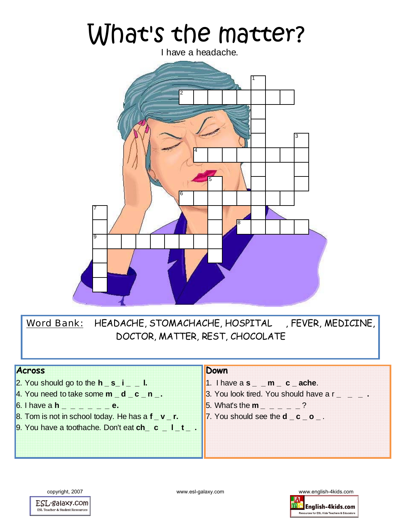# What's the matter?

I have a headache.



Word Bank: HEADACHE, STOMACHACHE, HOSPITAL , FEVER, MEDICINE, DOCTOR, MATTER, REST, CHOCOLATE

#### **Across**

- 2. You should go to the  $h_s = i_0$ .
- 4. You need to take some **m** d c **n** .
- 6. I have a **h \_ \_ \_ \_ \_ \_ e.**
- 8. Tom is not in school today. He has a **f \_ v \_ r.**
- 9. You have a toothache. Don't eat **ch\_ c \_ l \_ t \_ .**

#### **Down**

- 1. I have a **s \_ \_ m \_ c \_ ache**.
- 3. You look tired. You should have  $ar \_ \_ -$ .
- 5. What's the **m \_ \_ \_ \_ \_** ?
- 7. You should see the **d c o** .